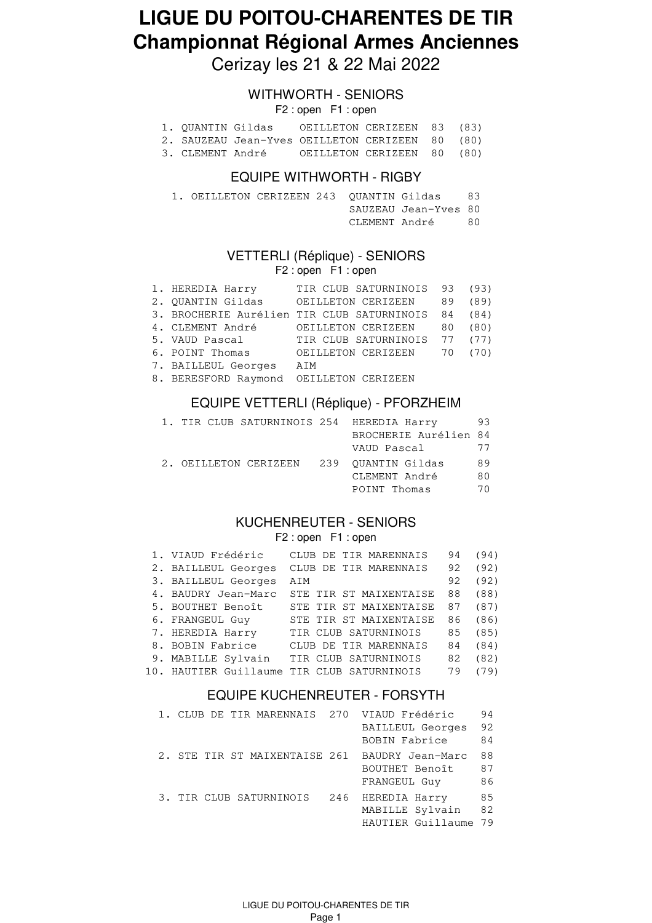# **LIGUE DU POITOU-CHARENTES DE TIR Championnat Régional Armes Anciennes**

Cerizay les 21 & 22 Mai 2022

### WITHWORTH - SENIORS

F2 : open F1 : open

| 1. OUANTIN Gildas | OEILLETON CERIZEEN 83 (83)                      |  |  |
|-------------------|-------------------------------------------------|--|--|
|                   | 2. SAUZEAU Jean-Yves OEILLETON CERIZEEN 80 (80) |  |  |

3. CLEMENT André OEILLETON CERIZEEN 80 (80)

#### EQUIPE WITHWORTH - RIGBY

| 1. OEILLETON CERIZEEN 243 OUANTIN Gildas |  |                      | 83 |
|------------------------------------------|--|----------------------|----|
|                                          |  | SAUZEAU Jean-Yves 80 |    |
|                                          |  |                      |    |

#### VETTERLI (Réplique) - SENIORS

F2 : open F1 : open

| 1. HEREDIA Harry                        | TIR CLUB SATURNINOIS 93 (93)                |    |      |
|-----------------------------------------|---------------------------------------------|----|------|
| 2. QUANTIN Gildas                       | OEILLETON CERIZEEN                          | 89 | (89) |
|                                         | 3. BROCHERIE Aurélien TIR CLUB SATURNINOIS  | 84 | (84) |
| 4. CLEMENT André                        | OEILLETON CERIZEEN                          | 80 | (80) |
|                                         | 5. VAUD Pascal TIR CLUB SATURNINOIS 77 (77) |    |      |
| 6. POINT Thomas                         | OEILLETON CERIZEEN                          | 70 | (70) |
| 7. BAILLEUL Georges                     | AIM                                         |    |      |
| 8. BERESFORD Raymond OEILLETON CERIZEEN |                                             |    |      |

#### EQUIPE VETTERLI (Réplique) - PFORZHEIM

|  | 1. TIR CLUB SATURNINOIS 254 HEREDIA Harry |                       | 93 |
|--|-------------------------------------------|-----------------------|----|
|  |                                           | BROCHERIE Aurélien 84 |    |
|  |                                           | VAUD Pascal           | 77 |
|  | 2. OEILLETON CERIZEEN                     | 239 OUANTIN Gildas    | 89 |
|  |                                           | CLEMENT André         | 80 |
|  |                                           | POINT Thomas          | 70 |

#### KUCHENREUTER - SENIORS F2 : open F1 : open

| 1. VIAUD Frédéric   | CLUB DE TIR MARENNAIS                      | 94 | (94) |
|---------------------|--------------------------------------------|----|------|
| 2. BAILLEUL Georges | CLUB DE TIR MARENNAIS                      | 92 | (92) |
| 3. BAILLEUL Georges | AIM                                        | 92 | (92) |
| 4. BAUDRY Jean-Marc | STE TIR ST MAIXENTAISE                     | 88 | (88) |
| 5. BOUTHET Benoît   | STE TIR ST MAIXENTAISE                     | 87 | (87) |
| 6. FRANGEUL Guy     | STE TIR ST MAIXENTAISE                     | 86 | (86) |
| 7. HEREDIA Harry    | TIR CLUB SATURNINOIS                       | 85 | (85) |
| 8. BOBIN Fabrice    | CLUB DE TIR MARENNAIS                      | 84 | (84) |
| 9. MABILLE Sylvain  | TIR CLUB SATURNINOIS                       | 82 | (82) |
|                     | 10. HAUTIER Guillaume TIR CLUB SATURNINOIS | 79 | (79) |

### EQUIPE KUCHENREUTER - FORSYTH

| 1. CLUB DE TIR MARENNAIS 270 VIAUD Frédéric |                   | 94 |
|---------------------------------------------|-------------------|----|
|                                             | BAILLEUL Georges  | 92 |
|                                             | BOBIN Fabrice     | 84 |
| 2. STE TIR ST MAIXENTAISE 261               | BAUDRY Jean-Marc  | 88 |
|                                             | BOUTHET Benoît    | 87 |
|                                             | FRANGEUL Guy      | 86 |
| 3. TIR CLUB SATURNINOIS                     | 246 HEREDIA Harry | 85 |
|                                             | MABILLE Sylvain   | 82 |
|                                             | HAUTIER Guillaume | 79 |